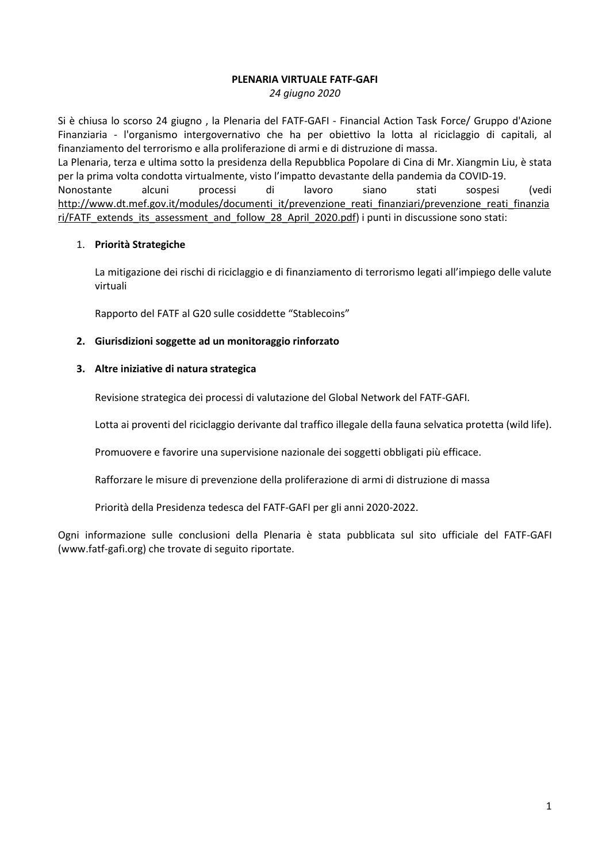### **PLENARIA VIRTUALE FATF-GAFI**

*24 giugno 2020*

Si è chiusa lo scorso 24 giugno , la Plenaria del FATF-GAFI - Financial Action Task Force/ Gruppo d'Azione Finanziaria - l'organismo intergovernativo che ha per obiettivo la lotta al riciclaggio di capitali, al finanziamento del terrorismo e alla proliferazione di armi e di distruzione di massa. La Plenaria, terza e ultima sotto la presidenza della Repubblica Popolare di Cina di Mr. Xiangmin Liu, è stata per la prima volta condotta virtualmente, visto l'impatto devastante della pandemia da COVID-19. Nonostante alcuni processi di lavoro siano stati sospesi (vedi [http://www.dt.mef.gov.it/modules/documenti\\_it/prevenzione\\_reati\\_finanziari/prevenzione\\_reati\\_finanzia](http://www.dt.mef.gov.it/modules/documenti_it/prevenzione_reati_finanziari/prevenzione_reati_finanziari/FATF_extends_its_assessment_and_follow_28_April_2020.pdf) [ri/FATF\\_extends\\_its\\_assessment\\_and\\_follow\\_28\\_April\\_2020.pdf\)](http://www.dt.mef.gov.it/modules/documenti_it/prevenzione_reati_finanziari/prevenzione_reati_finanziari/FATF_extends_its_assessment_and_follow_28_April_2020.pdf) i punti in discussione sono stati:

#### 1. **Priorità Strategiche**

La mitigazione dei rischi di riciclaggio e di finanziamento di terrorismo legati all'impiego delle valute virtuali

Rapporto del FATF al G20 sulle cosiddette "Stablecoins"

#### **2. Giurisdizioni soggette ad un monitoraggio rinforzato**

#### **3. Altre iniziative di natura strategica**

Revisione strategica dei processi di valutazione del Global Network del FATF-GAFI.

Lotta ai proventi del riciclaggio derivante dal traffico illegale della fauna selvatica protetta (wild life).

Promuovere e favorire una supervisione nazionale dei soggetti obbligati più efficace.

Rafforzare le misure di prevenzione della proliferazione di armi di distruzione di massa

Priorità della Presidenza tedesca del FATF-GAFI per gli anni 2020-2022.

Ogni informazione sulle conclusioni della Plenaria è stata pubblicata sul sito ufficiale del FATF-GAFI (www.fatf-gafi.org) che trovate di seguito riportate.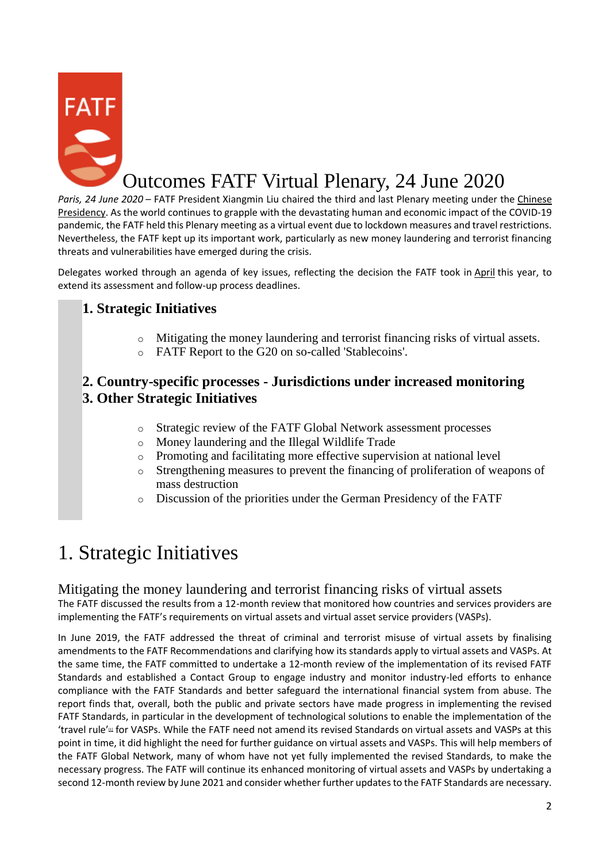

# Outcomes FATF Virtual Plenary, 24 June 2020

*Paris, 24 June 2020* – FATF President Xiangmin Liu chaired the third and last Plenary meeting under the [Chinese](https://www.fatf-gafi.org/publications/fatfgeneral/documents/chinese-presidency-outcomes.html)  [Presidency.](https://www.fatf-gafi.org/publications/fatfgeneral/documents/chinese-presidency-outcomes.html) As the world continues to grapple with the devastating human and economic impact of the COVID-19 pandemic, the FATF held this Plenary meeting as a virtual event due to lockdown measures and travel restrictions. Nevertheless, the FATF kept up its important work, particularly as new money laundering and terrorist financing threats and vulnerabilities have emerged during the crisis.

Delegates worked through an agenda of key issues, reflecting the decision the FATF took in [April](http://www.fatf-gafi.org/publications/fatfgeneral/documents/mer-postponement-covid-19.html) this year, to extend its assessment and follow-up process deadlines.

## **1. Strategic Initiatives**

- o Mitigating the money laundering and terrorist financing risks of virtual assets.
- o FATF Report to the G20 on so-called 'Stablecoins'.

## **2. Country-specific processes - Jurisdictions under increased monitoring 3. Other Strategic Initiatives**

- o Strategic review of the FATF Global Network assessment processes
- o Money laundering and the Illegal Wildlife Trade
- o Promoting and facilitating more effective supervision at national level
- o Strengthening measures to prevent the financing of proliferation of weapons of mass destruction
- o Discussion of the priorities under the German Presidency of the FATF

# 1. Strategic Initiatives

### Mitigating the money laundering and terrorist financing risks of virtual assets

The FATF discussed the results from a 12-month review that monitored how countries and services providers are implementing the FATF's requirements on virtual assets and virtual asset service providers (VASPs).

In June 2019, the FATF addressed the threat of criminal and terrorist misuse of virtual assets by finalising amendments to the FATF Recommendations and clarifying how its standards apply to virtual assets and VASPs. At the same time, the FATF committed to undertake a 12-month review of the implementation of its revised FATF Standards and established a Contact Group to engage industry and monitor industry-led efforts to enhance compliance with the FATF Standards and better safeguard the international financial system from abuse. The report finds that, overall, both the public and private sectors have made progress in implementing the revised FATF Standards, in particular in the development of technological solutions to enable the implementation of the ['](https://www.fatf-gafi.org/publications/fatfgeneral/documents/outcomes-fatf-plenary-june-2020.html#fn1)travel rule'<sup>"</sup> for VASPs. While the FATF need not amend its revised Standards on virtual assets and VASPs at this point in time, it did highlight the need for further guidance on virtual assets and VASPs. This will help members of the FATF Global Network, many of whom have not yet fully implemented the revised Standards, to make the necessary progress. The FATF will continue its enhanced monitoring of virtual assets and VASPs by undertaking a second 12-month review by June 2021 and consider whether further updates to the FATF Standards are necessary.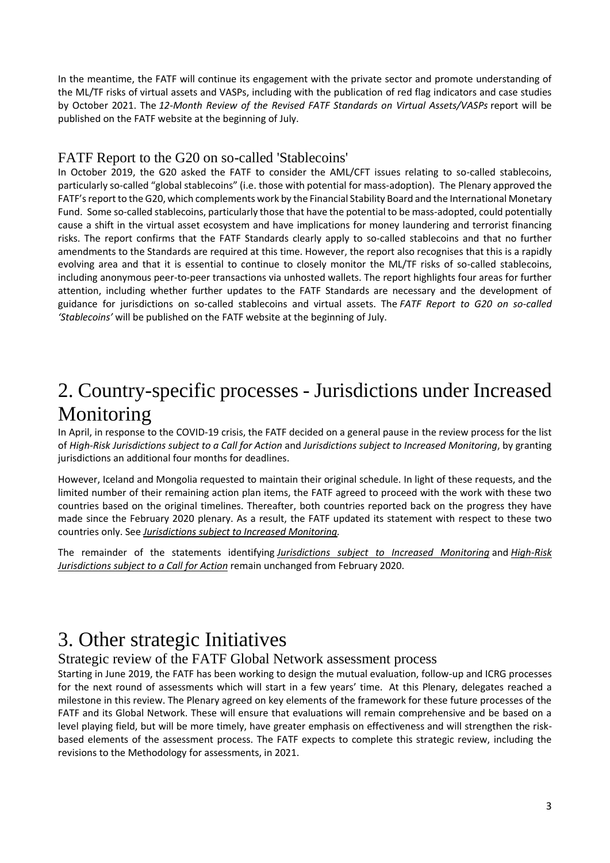In the meantime, the FATF will continue its engagement with the private sector and promote understanding of the ML/TF risks of virtual assets and VASPs, including with the publication of red flag indicators and case studies by October 2021. The *12-Month Review of the Revised FATF Standards on Virtual Assets/VASPs* report will be published on the FATF website at the beginning of July.

### FATF Report to the G20 on so-called 'Stablecoins'

In October 2019, the G20 asked the FATF to consider the AML/CFT issues relating to so-called stablecoins, particularly so-called "global stablecoins" (i.e. those with potential for mass-adoption). The Plenary approved the FATF's report to the G20, which complements work by the Financial Stability Board and the International Monetary Fund. Some so-called stablecoins, particularly those that have the potential to be mass-adopted, could potentially cause a shift in the virtual asset ecosystem and have implications for money laundering and terrorist financing risks. The report confirms that the FATF Standards clearly apply to so-called stablecoins and that no further amendments to the Standards are required at this time. However, the report also recognises that this is a rapidly evolving area and that it is essential to continue to closely monitor the ML/TF risks of so-called stablecoins, including anonymous peer-to-peer transactions via unhosted wallets. The report highlights four areas for further attention, including whether further updates to the FATF Standards are necessary and the development of guidance for jurisdictions on so-called stablecoins and virtual assets. The *FATF Report to G20 on so-called 'Stablecoins'* will be published on the FATF website at the beginning of July.

# 2. Country-specific processes - Jurisdictions under Increased Monitoring

In April, in response to the COVID-19 crisis, the FATF decided on a general pause in the review process for the list of *High-Risk Jurisdictions subject to a Call for Action* and *Jurisdictions subject to Increased Monitoring*, by granting jurisdictions an additional four months for deadlines.

However, Iceland and Mongolia requested to maintain their original schedule. In light of these requests, and the limited number of their remaining action plan items, the FATF agreed to proceed with the work with these two countries based on the original timelines. Thereafter, both countries reported back on the progress they have made since the February 2020 plenary. As a result, the FATF updated its statement with respect to these two countries only. See *[Jurisdictions subject to Increased Monitoring.](https://www.fatf-gafi.org/publications/high-risk-and-other-monitored-jurisdictions/documents/increased-monitoring-june-2020.html)*

The remainder of the statements identifying *[Jurisdictions subject to Increased Monitoring](https://www.fatf-gafi.org/publications/high-risk-and-other-monitored-jurisdictions/documents/increased-monitoring-june-2020.html)* and *[High-Risk](https://www.fatf-gafi.org/publications/high-risk-and-other-monitored-jurisdictions/documents/call-for-action-june-2020.html)  [Jurisdictions subject to a Call for Action](https://www.fatf-gafi.org/publications/high-risk-and-other-monitored-jurisdictions/documents/call-for-action-june-2020.html)* remain unchanged from February 2020.

# 3. Other strategic Initiatives

### Strategic review of the FATF Global Network assessment process

Starting in June 2019, the FATF has been working to design the mutual evaluation, follow-up and ICRG processes for the next round of assessments which will start in a few years' time. At this Plenary, delegates reached a milestone in this review. The Plenary agreed on key elements of the framework for these future processes of the FATF and its Global Network. These will ensure that evaluations will remain comprehensive and be based on a level playing field, but will be more timely, have greater emphasis on effectiveness and will strengthen the riskbased elements of the assessment process. The FATF expects to complete this strategic review, including the revisions to the Methodology for assessments, in 2021.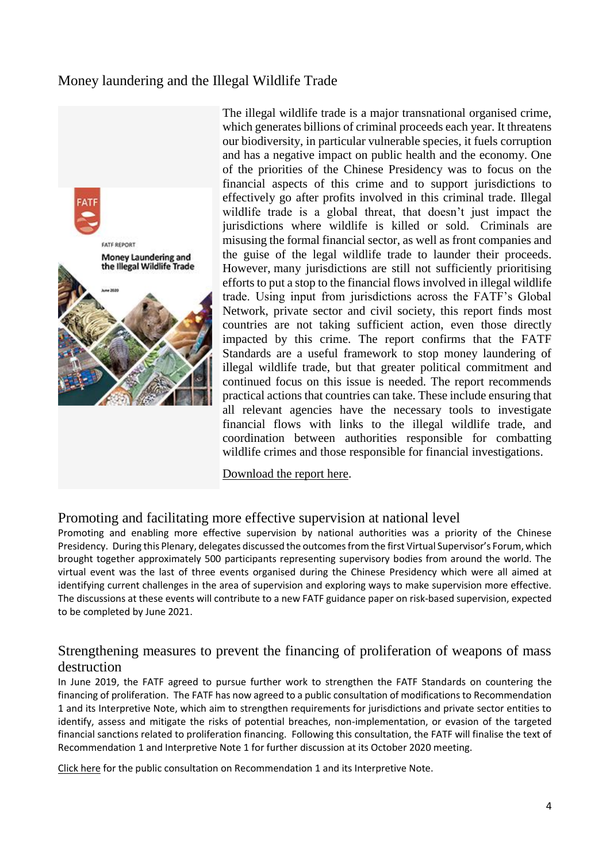## Money laundering and the Illegal Wildlife Trade



The illegal wildlife trade is a major transnational organised crime, which generates billions of criminal proceeds each year. It threatens our biodiversity, in particular vulnerable species, it fuels corruption and has a negative impact on public health and the economy. One of the priorities of the Chinese Presidency was to focus on the financial aspects of this crime and to support jurisdictions to effectively go after profits involved in this criminal trade. Illegal wildlife trade is a global threat, that doesn't just impact the jurisdictions where wildlife is killed or sold. Criminals are misusing the formal financial sector, as well as front companies and the guise of the legal wildlife trade to launder their proceeds. However, many jurisdictions are still not sufficiently prioritising efforts to put a stop to the financial flows involved in illegal wildlife trade. Using input from jurisdictions across the FATF's Global Network, private sector and civil society, this report finds most countries are not taking sufficient action, even those directly impacted by this crime. The report confirms that the FATF Standards are a useful framework to stop money laundering of illegal wildlife trade, but that greater political commitment and continued focus on this issue is needed. The report recommends practical actions that countries can take. These include ensuring that all relevant agencies have the necessary tools to investigate financial flows with links to the illegal wildlife trade, and coordination between authorities responsible for combatting wildlife crimes and those responsible for financial investigations.

#### [Download the report here.](https://www.fatf-gafi.org/publications/methodsandtrends/documents/money-laundering-wildlife-trade.html)

### Promoting and facilitating more effective supervision at national level

Promoting and enabling more effective supervision by national authorities was a priority of the Chinese Presidency. During this Plenary, delegates discussed the outcomes from the first Virtual Supervisor's Forum, which brought together approximately 500 participants representing supervisory bodies from around the world. The virtual event was the last of three events organised during the Chinese Presidency which were all aimed at identifying current challenges in the area of supervision and exploring ways to make supervision more effective. The discussions at these events will contribute to a new FATF guidance paper on risk-based supervision, expected to be completed by June 2021.

### Strengthening measures to prevent the financing of proliferation of weapons of mass destruction

In June 2019, the FATF agreed to pursue further work to strengthen the FATF Standards on countering the financing of proliferation. The FATF has now agreed to a public consultation of modifications to Recommendation 1 and its Interpretive Note, which aim to strengthen requirements for jurisdictions and private sector entities to identify, assess and mitigate the risks of potential breaches, non-implementation, or evasion of the targeted financial sanctions related to proliferation financing. Following this consultation, the FATF will finalise the text of Recommendation 1 and Interpretive Note 1 for further discussion at its October 2020 meeting.

[Click here](https://www.fatf-gafi.org/publications/fatfrecommendations/documents/consultation-recommendation-1.html) for the public consultation on Recommendation 1 and its Interpretive Note.